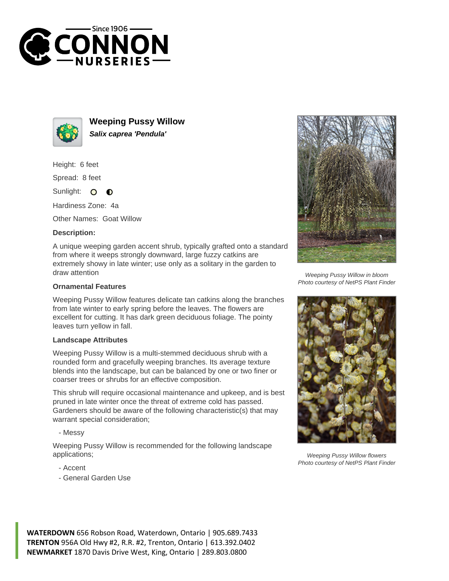



**Weeping Pussy Willow Salix caprea 'Pendula'**

Height: 6 feet

Spread: 8 feet

Sunlight: 0  $\bullet$ 

Hardiness Zone: 4a

Other Names: Goat Willow

## **Description:**

A unique weeping garden accent shrub, typically grafted onto a standard from where it weeps strongly downward, large fuzzy catkins are extremely showy in late winter; use only as a solitary in the garden to draw attention

## **Ornamental Features**

Weeping Pussy Willow features delicate tan catkins along the branches from late winter to early spring before the leaves. The flowers are excellent for cutting. It has dark green deciduous foliage. The pointy leaves turn yellow in fall.

## **Landscape Attributes**

Weeping Pussy Willow is a multi-stemmed deciduous shrub with a rounded form and gracefully weeping branches. Its average texture blends into the landscape, but can be balanced by one or two finer or coarser trees or shrubs for an effective composition.

This shrub will require occasional maintenance and upkeep, and is best pruned in late winter once the threat of extreme cold has passed. Gardeners should be aware of the following characteristic(s) that may warrant special consideration;

- Messy

Weeping Pussy Willow is recommended for the following landscape applications;

- Accent
- General Garden Use



Weeping Pussy Willow in bloom Photo courtesy of NetPS Plant Finder



Weeping Pussy Willow flowers Photo courtesy of NetPS Plant Finder

**WATERDOWN** 656 Robson Road, Waterdown, Ontario | 905.689.7433 **TRENTON** 956A Old Hwy #2, R.R. #2, Trenton, Ontario | 613.392.0402 **NEWMARKET** 1870 Davis Drive West, King, Ontario | 289.803.0800